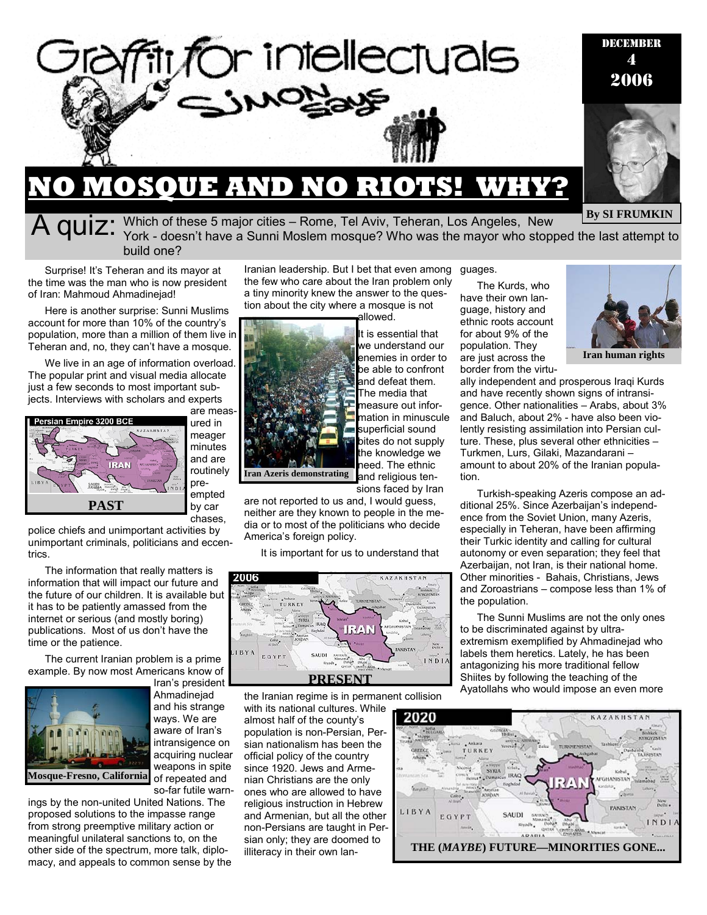

Which of these 5 major cities – Rome, Tel Aviv, Teheran, Los Angeles, New York - doesn't have a Sunni Moslem mosque? Who was the mayor who stopped the last attempt to build one?

Surprise! It's Teheran and its mayor at the time was the man who is now president of Iran: Mahmoud Ahmadinejad!

Here is another surprise: Sunni Muslims account for more than 10% of the country's population, more than a million of them live in Teheran and, no, they can't have a mosque.

We live in an age of information overload. The popular print and visual media allocate just a few seconds to most important subjects. Interviews with scholars and experts



are measured in meager minutes and are routinely preempted

by car chases,

police chiefs and unimportant activities by unimportant criminals, politicians and eccentrics.

The information that really matters is information that will impact our future and the future of our children. It is available but it has to be patiently amassed from the internet or serious (and mostly boring) publications. Most of us don't have the time or the patience.

The current Iranian problem is a prime example. By now most Americans know of



Iran's president Ahmadinejad and his strange ways. We are aware of Iran's intransigence on acquiring nuclear weapons in spite of repeated and so-far futile warn-

ings by the non-united United Nations. The proposed solutions to the impasse range from strong preemptive military action or meaningful unilateral sanctions to, on the other side of the spectrum, more talk, diplomacy, and appeals to common sense by the

Iranian leadership. But I bet that even among the few who care about the Iran problem only a tiny minority knew the answer to the question about the city where a mosque is not

allowed. It is essential that we understand our enemies in order to be able to confront and defeat them. The media that measure out information in minuscule superficial sound bites do not supply the knowledge we need. The ethnic and religious tensions faced by Iran **Iran Azeris demonstrating** 

are not reported to us and, I would guess, neither are they known to people in the media or to most of the politicians who decide America's foreign policy.

It is important for us to understand that



the Iranian regime is in permanent collision

with its national cultures. While almost half of the county's population is non-Persian, Persian nationalism has been the official policy of the country since 1920. Jews and Armenian Christians are the only ones who are allowed to have religious instruction in Hebrew and Armenian, but all the other non-Persians are taught in Persian only; they are doomed to illiteracy in their own languages.

The Kurds, who have their own language, history and ethnic roots account for about 9% of the population. They are just across the border from the virtu**Iran human rights** 

ally independent and prosperous Iraqi Kurds and have recently shown signs of intransigence. Other nationalities – Arabs, about 3% and Baluch, about 2% - have also been violently resisting assimilation into Persian culture. These, plus several other ethnicities – Turkmen, Lurs, Gilaki, Mazandarani – amount to about 20% of the Iranian population.

Turkish-speaking Azeris compose an additional 25%. Since Azerbaijan's independence from the Soviet Union, many Azeris, especially in Teheran, have been affirming their Turkic identity and calling for cultural autonomy or even separation; they feel that Azerbaijan, not Iran, is their national home. Other minorities - Bahais, Christians, Jews and Zoroastrians – compose less than 1% of the population.

The Sunni Muslims are not the only ones to be discriminated against by ultraextremism exemplified by Ahmadinejad who labels them heretics. Lately, he has been antagonizing his more traditional fellow Shiites by following the teaching of the Ayatollahs who would impose an even more

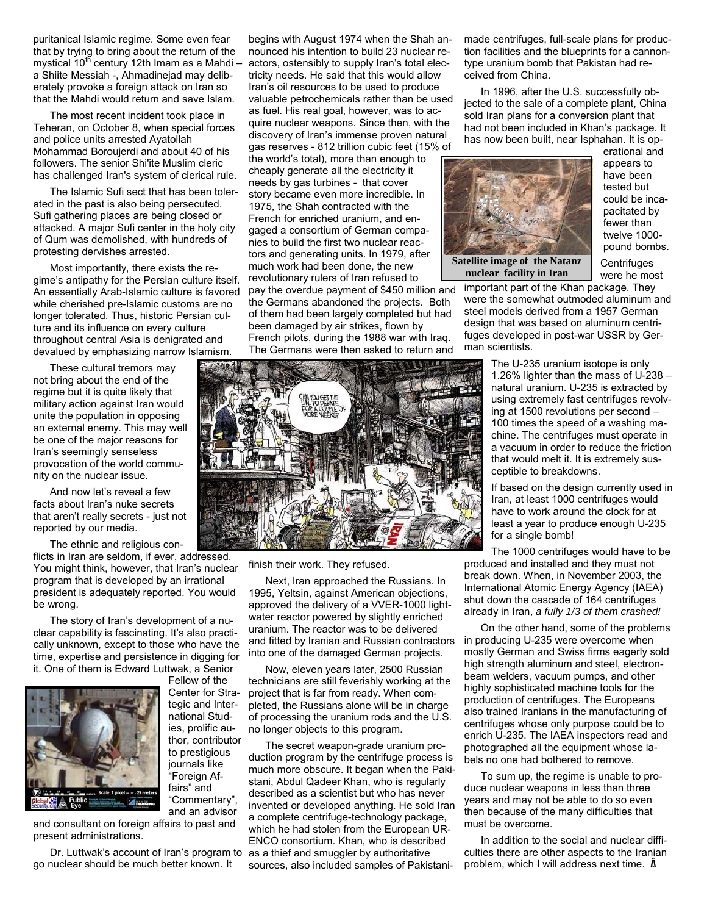puritanical Islamic regime. Some even fear that by trying to bring about the return of the mystical  $10<sup>th</sup>$  century 12th Imam as a Mahdi – a Shiite Messiah -, Ahmadinejad may deliberately provoke a foreign attack on Iran so that the Mahdi would return and save Islam.

The most recent incident took place in Teheran, on October 8, when special forces and police units arrested Ayatollah Mohammad Boroujerdi and about 40 of his followers. The senior Shi'ite Muslim cleric has challenged Iran's system of clerical rule.

The Islamic Sufi sect that has been tolerated in the past is also being persecuted. Sufi gathering places are being closed or attacked. A major Sufi center in the holy city of Qum was demolished, with hundreds of protesting dervishes arrested.

Most importantly, there exists the regime's antipathy for the Persian culture itself. An essentially Arab-Islamic culture is favored while cherished pre-Islamic customs are no longer tolerated. Thus, historic Persian culture and its influence on every culture throughout central Asia is denigrated and devalued by emphasizing narrow Islamism.

These cultural tremors may not bring about the end of the regime but it is quite likely that military action against Iran would unite the population in opposing an external enemy. This may well be one of the major reasons for Iran's seemingly senseless provocation of the world community on the nuclear issue.

And now let's reveal a few facts about Iran's nuke secrets that aren't really secrets - just not reported by our media.

The ethnic and religious con-

flicts in Iran are seldom, if ever, addressed. You might think, however, that Iran's nuclear program that is developed by an irrational president is adequately reported. You would be wrong.

The story of Iran's development of a nuclear capability is fascinating. It's also practically unknown, except to those who have the time, expertise and persistence in digging for it. One of them is Edward Luttwak, a Senior



Fellow of the Center for Strategic and International Studies, prolific author, contributor to prestigious journals like "Foreign Affairs" and "Commentary", and an advisor

and consultant on foreign affairs to past and present administrations.

Dr. Luttwak's account of Iran's program to go nuclear should be much better known. It

begins with August 1974 when the Shah announced his intention to build 23 nuclear reactors, ostensibly to supply Iran's total electricity needs. He said that this would allow Iran's oil resources to be used to produce valuable petrochemicals rather than be used as fuel. His real goal, however, was to acquire nuclear weapons. Since then, with the discovery of Iran's immense proven natural gas reserves - 812 trillion cubic feet (15% of the world's total), more than enough to cheaply generate all the electricity it needs by gas turbines - that cover story became even more incredible. In 1975, the Shah contracted with the French for enriched uranium, and engaged a consortium of German companies to build the first two nuclear reactors and generating units. In 1979, after much work had been done, the new revolutionary rulers of Iran refused to pay the overdue payment of \$450 million and the Germans abandoned the projects. Both of them had been largely completed but had been damaged by air strikes, flown by French pilots, during the 1988 war with Iraq. The Germans were then asked to return and



finish their work. They refused.

Next, Iran approached the Russians. In 1995, Yeltsin, against American objections, approved the delivery of a VVER-1000 lightwater reactor powered by slightly enriched uranium. The reactor was to be delivered and fitted by Iranian and Russian contractors into one of the damaged German projects.

Now, eleven years later, 2500 Russian technicians are still feverishly working at the project that is far from ready. When completed, the Russians alone will be in charge of processing the uranium rods and the U.S. no longer objects to this program.

The secret weapon-grade uranium production program by the centrifuge process is much more obscure. It began when the Pakistani, Abdul Qadeer Khan, who is regularly described as a scientist but who has never invented or developed anything. He sold Iran a complete centrifuge-technology package, which he had stolen from the European UR-ENCO consortium. Khan, who is described as a thief and smuggler by authoritative sources, also included samples of Pakistanimade centrifuges, full-scale plans for production facilities and the blueprints for a cannontype uranium bomb that Pakistan had received from China.

In 1996, after the U.S. successfully objected to the sale of a complete plant, China sold Iran plans for a conversion plant that had not been included in Khan's package. It has now been built, near Isphahan. It is op-



**nuclear facility in Iran** 

erational and appears to have been tested but could be incapacitated by fewer than twelve 1000 pound bombs.

**Centrifuges** were he most

important part of the Khan package. They were the somewhat outmoded aluminum and steel models derived from a 1957 German design that was based on aluminum centrifuges developed in post-war USSR by German scientists.

> The U-235 uranium isotope is only 1.26% lighter than the mass of U-238 – natural uranium. U-235 is extracted by using extremely fast centrifuges revolving at 1500 revolutions per second – 100 times the speed of a washing machine. The centrifuges must operate in a vacuum in order to reduce the friction that would melt it. It is extremely susceptible to breakdowns.

> If based on the design currently used in Iran, at least 1000 centrifuges would have to work around the clock for at least a year to produce enough U-235 for a single bomb!

The 1000 centrifuges would have to be produced and installed and they must not break down. When, in November 2003, the International Atomic Energy Agency (IAEA) shut down the cascade of 164 centrifuges already in Iran, *a fully 1/3 of them crashed!*

On the other hand, some of the problems in producing U-235 were overcome when mostly German and Swiss firms eagerly sold high strength aluminum and steel, electronbeam welders, vacuum pumps, and other highly sophisticated machine tools for the production of centrifuges. The Europeans also trained Iranians in the manufacturing of centrifuges whose only purpose could be to enrich U-235. The IAEA inspectors read and photographed all the equipment whose labels no one had bothered to remove.

To sum up, the regime is unable to produce nuclear weapons in less than three years and may not be able to do so even then because of the many difficulties that must be overcome.

In addition to the social and nuclear difficulties there are other aspects to the Iranian problem, which I will address next time. Ä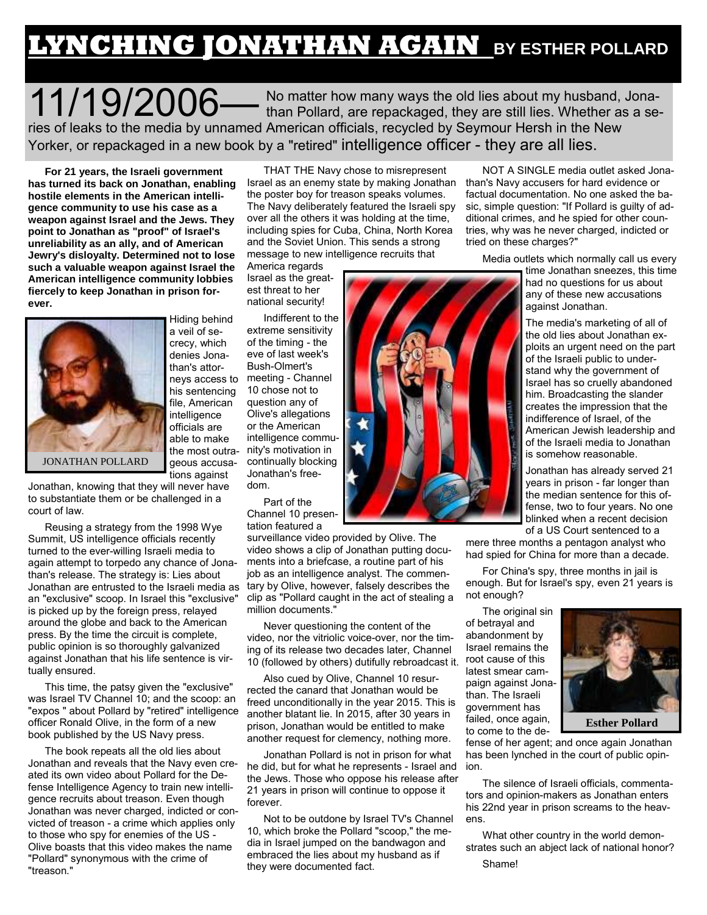## **LYNCHING JONATHAN AGAIN BY ESTHER POLLARD**

11/19/2006 — No matter how many ways the old lies about my husband, Jona-<br>than Pollard, are repackaged, they are still lies. Whether as a series of leaks to the media by unnamed American officials, recycled by Seymour Hersh in the New Yorker, or repackaged in a new book by a "retired" intelligence officer - they are all lies.

**For 21 years, the Israeli government has turned its back on Jonathan, enabling hostile elements in the American intelligence community to use his case as a weapon against Israel and the Jews. They point to Jonathan as "proof" of Israel's unreliability as an ally, and of American Jewry's disloyalty. Determined not to lose such a valuable weapon against Israel the American intelligence community lobbies fiercely to keep Jonathan in prison forever.** 



Hiding behind a veil of secrecy, which denies Jonathan's attorneys access to his sentencing file, American intelligence officials are able to make the most outrageous accusations against

Jonathan, knowing that they will never have to substantiate them or be challenged in a court of law.

Reusing a strategy from the 1998 Wye Summit, US intelligence officials recently turned to the ever-willing Israeli media to again attempt to torpedo any chance of Jonathan's release. The strategy is: Lies about Jonathan are entrusted to the Israeli media as an "exclusive" scoop. In Israel this "exclusive" is picked up by the foreign press, relayed around the globe and back to the American press. By the time the circuit is complete, public opinion is so thoroughly galvanized against Jonathan that his life sentence is virtually ensured.

This time, the patsy given the "exclusive" was Israel TV Channel 10; and the scoop: an "expos " about Pollard by "retired" intelligence officer Ronald Olive, in the form of a new book published by the US Navy press.

The book repeats all the old lies about Jonathan and reveals that the Navy even created its own video about Pollard for the Defense Intelligence Agency to train new intelligence recruits about treason. Even though Jonathan was never charged, indicted or convicted of treason - a crime which applies only to those who spy for enemies of the US - Olive boasts that this video makes the name "Pollard" synonymous with the crime of "treason."

THAT THE Navy chose to misrepresent Israel as an enemy state by making Jonathan the poster boy for treason speaks volumes. The Navy deliberately featured the Israeli spy over all the others it was holding at the time, including spies for Cuba, China, North Korea and the Soviet Union. This sends a strong message to new intelligence recruits that

America regards Israel as the greatest threat to her national security!

Indifferent to the extreme sensitivity of the timing - the eve of last week's Bush-Olmert's meeting - Channel 10 chose not to question any of Olive's allegations or the American intelligence community's motivation in continually blocking Jonathan's freedom.

Part of the Channel 10 presentation featured a

surveillance video provided by Olive. The video shows a clip of Jonathan putting documents into a briefcase, a routine part of his job as an intelligence analyst. The commentary by Olive, however, falsely describes the clip as "Pollard caught in the act of stealing a million documents."

Never questioning the content of the video, nor the vitriolic voice-over, nor the timing of its release two decades later, Channel 10 (followed by others) dutifully rebroadcast it.

Also cued by Olive, Channel 10 resurrected the canard that Jonathan would be freed unconditionally in the year 2015. This is another blatant lie. In 2015, after 30 years in prison, Jonathan would be entitled to make another request for clemency, nothing more.

Jonathan Pollard is not in prison for what he did, but for what he represents - Israel and the Jews. Those who oppose his release after 21 years in prison will continue to oppose it forever.

Not to be outdone by Israel TV's Channel 10, which broke the Pollard "scoop," the media in Israel jumped on the bandwagon and embraced the lies about my husband as if they were documented fact.

NOT A SINGLE media outlet asked Jonathan's Navy accusers for hard evidence or factual documentation. No one asked the basic, simple question: "If Pollard is guilty of additional crimes, and he spied for other countries, why was he never charged, indicted or tried on these charges?"

Media outlets which normally call us every

time Jonathan sneezes, this time had no questions for us about any of these new accusations against Jonathan.

The media's marketing of all of the old lies about Jonathan exploits an urgent need on the part of the Israeli public to understand why the government of Israel has so cruelly abandoned him. Broadcasting the slander creates the impression that the indifference of Israel, of the American Jewish leadership and of the Israeli media to Jonathan is somehow reasonable.

Jonathan has already served 21 years in prison - far longer than the median sentence for this offense, two to four years. No one blinked when a recent decision of a US Court sentenced to a

mere three months a pentagon analyst who had spied for China for more than a decade.

For China's spy, three months in jail is enough. But for Israel's spy, even 21 years is not enough?

The original sin of betrayal and abandonment by Israel remains the root cause of this latest smear campaign against Jonathan. The Israeli government has failed, once again, to come to the de-



fense of her agent; and once again Jonathan has been lynched in the court of public opin-

The silence of Israeli officials, commentators and opinion-makers as Jonathan enters his 22nd year in prison screams to the heavens.

What other country in the world demonstrates such an abject lack of national honor?

ion.